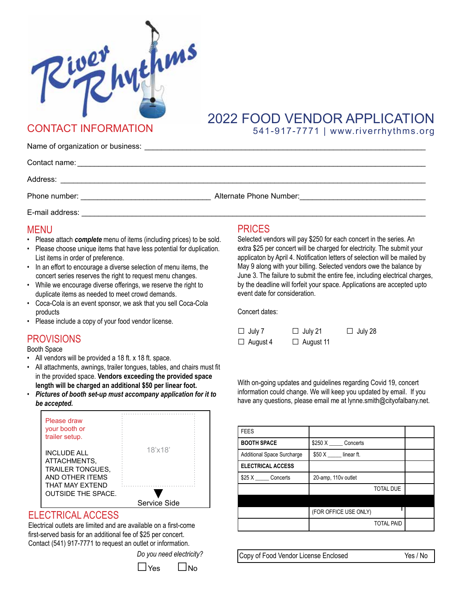

# 2022 FOOD VENDOR APPLICATION CONTACT INFORMATION 541-917-7771 | www.riverrhythms.org

Name of organization or business:

| Contact name:   |                         |
|-----------------|-------------------------|
| Address:        |                         |
| Phone number:   | Alternate Phone Number: |
| E-mail address: |                         |

## MENU

- Please attach *complete* menu of items (including prices) to be sold.
- Please choose unique items that have less potential for duplication. List items in order of preference.
- In an effort to encourage a diverse selection of menu items, the concert series reserves the right to request menu changes.
- While we encourage diverse offerings, we reserve the right to duplicate items as needed to meet crowd demands.
- Coca-Cola is an event sponsor, we ask that you sell Coca-Cola products
- Please include a copy of your food vendor license.

# **PROVISIONS**

Booth Space

- All vendors will be provided a 18 ft. x 18 ft. space.
- All attachments, awnings, trailer tongues, tables, and chairs must fit in the provided space. **Vendors exceeding the provided space length will be charged an additional \$50 per linear foot.**
- *Pictures of booth set-up must accompany application for it to be accepted.*



### ELECTRICAL ACCESS

Electrical outlets are limited and are available on a first-come first-served basis for an additional fee of \$25 per concert. Contact (541) 917-7771 to request an outlet or information.

*Do you need electricity?*



### PRICES

Selected vendors will pay \$250 for each concert in the series. An extra \$25 per concert will be charged for electricity. The submit your applicaton by April 4. Notification letters of selection will be mailed by May 9 along with your billing. Selected vendors owe the balance by June 3. The failure to submit the entire fee, including electrical charges, by the deadline will forfeit your space. Applications are accepted upto event date for consideration.

Concert dates:

| $\Box$ July 7   | $\Box$ July 21   | $\Box$ July 28 |
|-----------------|------------------|----------------|
| $\Box$ August 4 | $\Box$ August 11 |                |

With on-going updates and guidelines regarding Covid 19, concert information could change. We will keep you updated by email. If you have any questions, please email me at lynne.smith@cityofalbany.net.

| <b>FEES</b>                       |                       |  |
|-----------------------------------|-----------------------|--|
| <b>BOOTH SPACE</b>                | \$250 X Concerts      |  |
| <b>Additional Space Surcharge</b> | $$50 X$ linear ft.    |  |
| <b>ELECTRICAL ACCESS</b>          |                       |  |
| \$25 X Concerts                   | 20-amp, 110v outlet   |  |
|                                   | <b>TOTAL DUE</b>      |  |
|                                   |                       |  |
|                                   | (FOR OFFICE USE ONLY) |  |
|                                   | <b>TOTAL PAID</b>     |  |

Copy of Food Vendor License Enclosed Yes / No